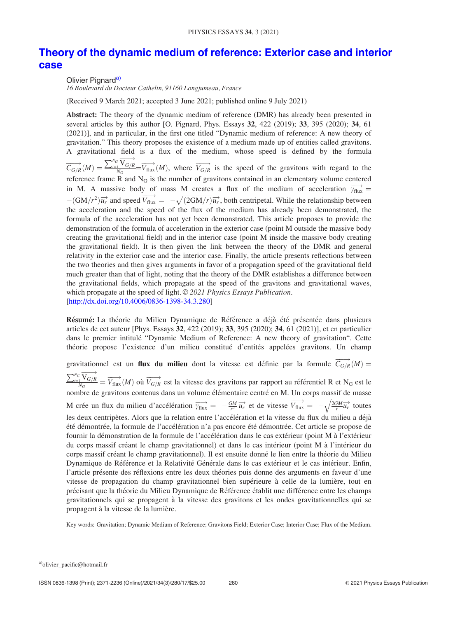# Theory of the dynamic medium of reference: Exterior case and interior case

Olivier Pignard<sup>a)</sup>

16 Boulevard du Docteur Cathelin, 91160 Longjumeau, France

(Received 9 March 2021; accepted 3 June 2021; published online 9 July 2021)

Abstract: The theory of the dynamic medium of reference (DMR) has already been presented in several articles by this author [O. Pignard, Phys. Essays 32, 422 (2019); 33, 395 (2020); 34, 61 (2021)], and in particular, in the first one titled "Dynamic medium of reference: A new theory of gravitation." This theory proposes the existence of a medium made up of entities called gravitons. A gravitational field is a flux of the medium, whose speed is defined by the formula  $\overrightarrow{C_{G/R}}(M)=\frac{\sum_{i=1}^{N_G}\overrightarrow{V_{G/R}}} {N_G}$  $\frac{N_{G/R}}{N_G} = \overrightarrow{V_{flux}}(M)$ , where  $\overrightarrow{V_{G/R}}$  is the speed of the gravitons with regard to the reference frame  $R$  and  $N_G$  is the number of gravitons contained in an elementary volume centered in M. A massive body of mass M creates a flux of the medium of acceleration  $\overrightarrow{v_{\text{flux}}}$  =  $-(GM/r^2)\vec{u_r}$  and speed  $\vec{v_{\text{flux}}} = -\sqrt{(2GM/r)}\vec{u_r}$ , both centripetal. While the relationship between the acceleration and the speed of the flux of the medium has already been demonstrated, the formula of the acceleration has not yet been demonstrated. This article proposes to provide the demonstration of the formula of acceleration in the exterior case (point M outside the massive body creating the gravitational field) and in the interior case (point M inside the massive body creating the gravitational field). It is then given the link between the theory of the DMR and general relativity in the exterior case and the interior case. Finally, the article presents reflections between the two theories and then gives arguments in favor of a propagation speed of the gravitational field much greater than that of light, noting that the theory of the DMR establishes a difference between the gravitational fields, which propagate at the speed of the gravitons and gravitational waves, which propagate at the speed of light.  $\odot$  2021 Physics Essays Publication. [http://dx.doi.org/10.4006/0836-1398-34.3.280]

Résumé: La théorie du Milieu Dynamique de Référence a déjà été présentée dans plusieurs articles de cet auteur [Phys. Essays 32, 422 (2019); 33, 395 (2020); 34, 61 (2021)], et en particulier dans le premier intitulé "Dynamic Medium of Reference: A new theory of gravitation". Cette théorie propose l'existence d'un milieu constitué d'entités appelées gravitons. Un champ

gravitationnel est un **flux du milieu** dont la vitesse est définie par la formule  $\overrightarrow{C_{G/R}}(M)$ 

 $\sum_{i=1}^{N_G} \overrightarrow{V_{G/R}}$  $\frac{N_{G/R}}{N_G} = \overrightarrow{V_{flux}}(M)$  où  $\overrightarrow{V_{G/R}}$  est la vitesse des gravitons par rapport au référentiel R et N<sub>G</sub> est le nombre de gravitons contenus dans un volume élémentaire centré en M. Un corps massif de masse M crée un flux du milieu d'accélération  $\overrightarrow{v_{\text{flux}}} = -\frac{GM}{r^2} \overrightarrow{u_r}$  et de vitesse  $\overrightarrow{V_{\text{flux}}} = -\sqrt{\frac{2GM}{r}}$  $\mathbb{Z}$  $\overrightarrow{u_r}$  toutes les deux centripètes. Alors que la relation entre l'accélération et la vitesse du flux du milieu a déjà été démontrée, la formule de l'accélération n'a pas encore été démontrée. Cet article se propose de fournir la démonstration de la formule de l'accélération dans le cas extérieur (point M à l'extérieur du corps massif créant le champ gravitationnel) et dans le cas intérieur (point M à l'intérieur du corps massif créant le champ gravitationnel). Il est ensuite donné le lien entre la théorie du Milieu Dynamique de Référence et la Relativité Générale dans le cas extérieur et le cas intérieur. Enfin, l'article présente des réflexions entre les deux théories puis donne des arguments en faveur d'une vitesse de propagation du champ gravitationnel bien supérieure à celle de la lumière, tout en précisant que la théorie du Milieu Dynamique de Référence établit une différence entre les champs gravitationnels qui se propagent à la vitesse des gravitons et les ondes gravitationnelles qui se propagent à la vitesse de la lumière.

Key words: Gravitation; Dynamic Medium of Reference; Gravitons Field; Exterior Case; Interior Case; Flux of the Medium.

a)olivier\_pacific@hotmail.fr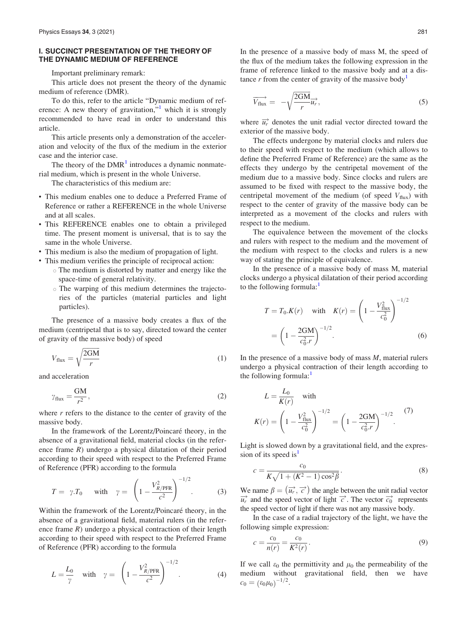## I. SUCCINCT PRESENTATION OF THE THEORY OF THE DYNAMIC MEDIUM OF REFERENCE

Important preliminary remark:

This article does not present the theory of the dynamic medium of reference (DMR).

To do this, refer to the article "Dynamic medium of reference: A new theory of gravitation, $\frac{1}{1}$  which it is strongly recommended to have read in order to understand this article.

This article presents only a demonstration of the acceleration and velocity of the flux of the medium in the exterior case and the interior case.

The theory of the  $DMR<sup>1</sup>$  $DMR<sup>1</sup>$  $DMR<sup>1</sup>$  introduces a dynamic nonmaterial medium, which is present in the whole Universe.

The characteristics of this medium are:

- This medium enables one to deduce a Preferred Frame of Reference or rather a REFERENCE in the whole Universe and at all scales.
- This REFERENCE enables one to obtain a privileged time. The present moment is universal, that is to say the same in the whole Universe.
- This medium is also the medium of propagation of light.
- This medium verifies the principle of reciprocal action:
	- The medium is distorted by matter and energy like the space-time of general relativity.
	- The warping of this medium determines the trajectories of the particles (material particles and light particles).

The presence of a massive body creates a flux of the medium (centripetal that is to say, directed toward the center of gravity of the massive body) of speed

$$
V_{\text{flux}} = \sqrt{\frac{2GM}{r}} \tag{1}
$$

and acceleration

$$
\gamma_{\text{flux}} = \frac{\text{GM}}{r^2},\tag{2}
$$

where  $r$  refers to the distance to the center of gravity of the massive body.

In the framework of the Lorentz/Poincaré theory, in the absence of a gravitational field, material clocks (in the reference frame  $R$ ) undergo a physical dilatation of their period according to their speed with respect to the Preferred Frame of Reference (PFR) according to the formula

$$
T = \gamma \cdot T_0 \quad \text{with} \quad \gamma = \left(1 - \frac{V_{R/\text{PFR}}^2}{c^2}\right)^{-1/2}.\tag{3}
$$

Within the framework of the Lorentz/Poincaré theory, in the absence of a gravitational field, material rulers (in the reference frame  $R$ ) undergo a physical contraction of their length according to their speed with respect to the Preferred Frame of Reference (PFR) according to the formula

$$
L = \frac{L_0}{\gamma} \quad \text{with} \quad \gamma = \left(1 - \frac{V_{R/\text{PFR}}^2}{c^2}\right)^{-1/2}.
$$
 (4)

In the presence of a massive body of mass M, the speed of the flux of the medium takes the following expression in the frame of reference linked to the massive body and at a dis-tance r from the center of gravity of the massive body<sup>[1](#page-17-0)</sup>

$$
\overrightarrow{V_{\text{flux}}} = -\sqrt{\frac{2GM}{r}} \overrightarrow{u_r}, \qquad (5)
$$

where  $\overrightarrow{u_r}$  denotes the unit radial vector directed toward the exterior of the massive body.

The effects undergone by material clocks and rulers due to their speed with respect to the medium (which allows to define the Preferred Frame of Reference) are the same as the effects they undergo by the centripetal movement of the medium due to a massive body. Since clocks and rulers are assumed to be fixed with respect to the massive body, the centripetal movement of the medium (of speed  $V_{\text{flux}}$ ) with respect to the center of gravity of the massive body can be interpreted as a movement of the clocks and rulers with respect to the medium.

The equivalence between the movement of the clocks and rulers with respect to the medium and the movement of the medium with respect to the clocks and rulers is a new way of stating the principle of equivalence.

In the presence of a massive body of mass M, material clocks undergo a physical dilatation of their period according to the following formula: $<sup>1</sup>$ </sup>

$$
T = T_0.K(r) \quad \text{with} \quad K(r) = \left(1 - \frac{V_{\text{flux}}^2}{c_0^2}\right)^{-1/2}
$$

$$
= \left(1 - \frac{2GM}{c_0^2 r}\right)^{-1/2}.
$$
(6)

In the presence of a massive body of mass  $M$ , material rulers undergo a physical contraction of their length according to the following formula: $<sup>1</sup>$  $<sup>1</sup>$  $<sup>1</sup>$ </sup>

$$
L = \frac{L_0}{K(r)} \quad \text{with}
$$

$$
K(r) = \left(1 - \frac{V_{\text{flux}}^2}{c_0^2}\right)^{-1/2} = \left(1 - \frac{2GM}{c_0^2 r}\right)^{-1/2}.
$$
 (7)

Light is slowed down by a gravitational field, and the expres-sion of its speed is<sup>[1](#page-17-0)</sup>

$$
c = \frac{c_0}{K\sqrt{1 + (K^2 - 1)\cos^2\beta}}.
$$
\n(8)

We name  $\beta = (\overrightarrow{u_r}, \overrightarrow{c})$  the angle between the unit radial vector  $\overrightarrow{u_r}$  and the speed vector of light  $\overrightarrow{c}$ . The vector  $\overrightarrow{c_0}$  represents the speed vector of light if there was not any massive body.

In the case of a radial trajectory of the light, we have the following simple expression:

$$
c = \frac{c_0}{n(r)} = \frac{c_0}{K^2(r)}.
$$
\n(9)

If we call  $\varepsilon_0$  the permittivity and  $\mu_0$  the permeability of the medium without gravitational field, then we have  $c_0 = (\varepsilon_0 \mu_0)^{-1/2}.$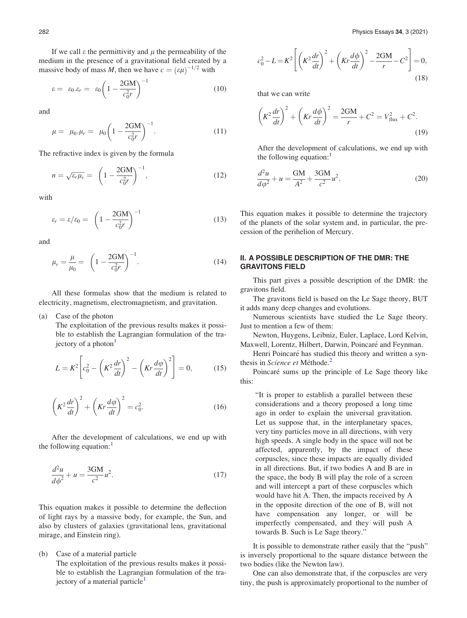If we call  $\varepsilon$  the permittivity and  $\mu$  the permeability of the medium in the presence of a gravitational field created by a massive body of mass M, then we have  $c = (\varepsilon \mu)^{-1/2}$  with

$$
\varepsilon = \varepsilon_0 . \varepsilon_r = \varepsilon_0 \left( 1 - \frac{2GM}{c_0^2 r} \right)^{-1} \tag{10}
$$

and

$$
\mu = \mu_0.\mu_r = \mu_0 \left(1 - \frac{2GM}{c_0^2 r}\right)^{-1}.\tag{11}
$$

The refractive index is given by the formula

$$
n = \sqrt{\varepsilon_r \mu_r} = \left(1 - \frac{2GM}{c_0^2 r}\right)^{-1},
$$
\n(12)

with

$$
\varepsilon_r = \varepsilon / \varepsilon_0 = \left( 1 - \frac{2GM}{c_0^2 r} \right)^{-1} \tag{13}
$$

and

$$
\mu_r = \frac{\mu}{\mu_0} = \left(1 - \frac{2GM}{c_0^2 r}\right)^{-1}.
$$
\n(14)

All these formulas show that the medium is related to electricity, magnetism, electromagnetism, and gravitation.

(a) Case of the photon

The exploitation of the previous results makes it possible to establish the Lagrangian formulation of the trajectory of a photon $\frac{1}{2}$  $\frac{1}{2}$  $\frac{1}{2}$ 

$$
L = K^2 \left[ c_0^2 - \left( K^2 \frac{dr}{dt} \right)^2 - \left( Kr \frac{d\varphi}{dt} \right)^2 \right] = 0, \quad (15)
$$

$$
\left(K^2 \frac{dr}{dt}\right)^2 + \left(Kr \frac{d\varphi}{dt}\right)^2 = c_0^2.
$$
\n(16)

After the development of calculations, we end up with the following equation: $<sup>1</sup>$  $<sup>1</sup>$  $<sup>1</sup>$ </sup>

$$
\frac{d^2u}{d\phi^2} + u = \frac{3GM}{c^2}u^2.
$$
 (17)

This equation makes it possible to determine the deflection of light rays by a massive body, for example, the Sun, and also by clusters of galaxies (gravitational lens, gravitational mirage, and Einstein ring).

(b) Case of a material particle

The exploitation of the previous results makes it possible to establish the Lagrangian formulation of the tra-jectory of a material particle<sup>[1](#page-17-0)</sup>

$$
c_0^2 - L = K^2 \left[ \left( K^2 \frac{dr}{dt} \right)^2 + \left( Kr \frac{d\phi}{dt} \right)^2 - \frac{2GM}{r} - C^2 \right] = 0,
$$
\n(18)

that we can write

$$
\left(K^2\frac{dr}{dt}\right)^2 + \left(Kr\frac{d\phi}{dt}\right)^2 = \frac{2GM}{r} + C^2 = V_{\text{flux}}^2 + C^2.
$$
\n(19)

After the development of calculations, we end up with the following equation: $<sup>1</sup>$  $<sup>1</sup>$  $<sup>1</sup>$ </sup>

$$
\frac{d^2u}{d\varphi^2} + u = \frac{GM}{A^2} + \frac{3GM}{c^2}u^2.
$$
 (20)

This equation makes it possible to determine the trajectory of the planets of the solar system and, in particular, the precession of the perihelion of Mercury.

# II. A POSSIBLE DESCRIPTION OF THE DMR: THE GRAVITONS FIELD

This part gives a possible description of the DMR: the gravitons field.

The gravitons field is based on the Le Sage theory, BUT it adds many deep changes and evolutions.

Numerous scientists have studied the Le Sage theory. Just to mention a few of them:

Newton, Huygens, Leibniz, Euler, Laplace, Lord Kelvin, Maxwell, Lorentz, Hilbert, Darwin, Poincaré and Feynman.

Henri Poincaré has studied this theory and written a syn-thesis in Science et Méthode.<sup>[2](#page-17-0)</sup>

Poincaré sums up the principle of Le Sage theory like this:

"It is proper to establish a parallel between these considerations and a theory proposed a long time ago in order to explain the universal gravitation. Let us suppose that, in the interplanetary spaces, very tiny particles move in all directions, with very high speeds. A single body in the space will not be affected, apparently, by the impact of these corpuscles, since these impacts are equally divided in all directions. But, if two bodies A and B are in the space, the body B will play the role of a screen and will intercept a part of these corpuscles which would have hit A. Then, the impacts received by A in the opposite direction of the one of B, will not have compensation any longer, or will be imperfectly compensated, and they will push A towards B. Such is Le Sage theory."

It is possible to demonstrate rather easily that the "push" is inversely proportional to the square distance between the two bodies (like the Newton law).

One can also demonstrate that, if the corpuscles are very tiny, the push is approximately proportional to the number of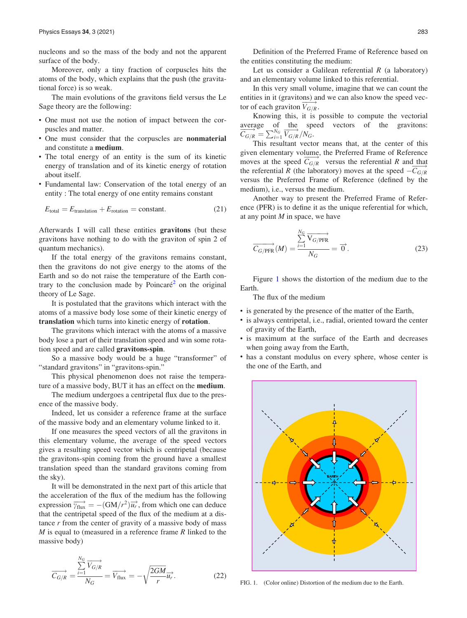nucleons and so the mass of the body and not the apparent surface of the body.

Moreover, only a tiny fraction of corpuscles hits the atoms of the body, which explains that the push (the gravitational force) is so weak.

The main evolutions of the gravitons field versus the Le Sage theory are the following:

- One must not use the notion of impact between the corpuscles and matter.
- One must consider that the corpuscles are nonmaterial and constitute a medium.
- The total energy of an entity is the sum of its kinetic energy of translation and of its kinetic energy of rotation about itself.
- Fundamental law: Conservation of the total energy of an entity : The total energy of one entity remains constant

$$
E_{\text{total}} = E_{\text{translation}} + E_{\text{rotation}} = \text{constant.} \tag{21}
$$

Afterwards I will call these entities gravitons (but these gravitons have nothing to do with the graviton of spin 2 of quantum mechanics).

If the total energy of the gravitons remains constant, then the gravitons do not give energy to the atoms of the Earth and so do not raise the temperature of the Earth con-trary to the conclusion made by Poincaré<sup>[2](#page-17-0)</sup> on the original theory of Le Sage.

It is postulated that the gravitons which interact with the atoms of a massive body lose some of their kinetic energy of translation which turns into kinetic energy of rotation.

The gravitons which interact with the atoms of a massive body lose a part of their translation speed and win some rotation speed and are called gravitons-spin.

So a massive body would be a huge "transformer" of "standard gravitons" in "gravitons-spin."

This physical phenomenon does not raise the temperature of a massive body, BUT it has an effect on the **medium**.

The medium undergoes a centripetal flux due to the presence of the massive body.

Indeed, let us consider a reference frame at the surface of the massive body and an elementary volume linked to it.

If one measures the speed vectors of all the gravitons in this elementary volume, the average of the speed vectors gives a resulting speed vector which is centripetal (because the gravitons-spin coming from the ground have a smallest translation speed than the standard gravitons coming from the sky).

It will be demonstrated in the next part of this article that the acceleration of the flux of the medium has the following expression  $\overrightarrow{v_{\text{flux}}} = -(GM/r^2)\overrightarrow{u_r}$ , from which one can deduce that the centripetal speed of the flux of the medium at a distance  $r$  from the center of gravity of a massive body of mass  $M$  is equal to (measured in a reference frame  $R$  linked to the massive body)

$$
\overrightarrow{C_{G/R}} = \frac{\sum_{i=1}^{N_G} \overrightarrow{V_{G/R}}}{N_G} = \overrightarrow{V_{flux}} = -\sqrt{\frac{2GM}{r}} \overrightarrow{u_r}.
$$
 (22)

Definition of the Preferred Frame of Reference based on the entities constituting the medium:

Let us consider a Galilean referential  $R$  (a laboratory) and an elementary volume linked to this referential.

In this very small volume, imagine that we can count the entities in it (gravitons) and we can also know the speed vector of each graviton  $\overrightarrow{V_{G/R}}$ .

Knowing this, it is possible to compute the vectorial average of the speed vectors of the gravitons:  $\overrightarrow{C_{G/R}} = \sum_{i=1}^{N_G} \overrightarrow{V_{G/R}}/N_G.$ 

This resultant vector means that, at the center of this given elementary volume, the Preferred Frame of Reference moves at the speed  $\overline{C_{G/R}}$  versus the referential R and that the referential R (the laboratory) moves at the speed  $-\overline{C_{G/R}}$ versus the Preferred Frame of Reference (defined by the medium), i.e., versus the medium.

Another way to present the Preferred Frame of Reference (PFR) is to define it as the unique referential for which, at any point  $M$  in space, we have

$$
\overrightarrow{C_{G/PFR}}(M) = \frac{\sum_{i=1}^{N_G} \overrightarrow{V_{G/PFR}}}{N_G} = \overrightarrow{0}.
$$
\n(23)

Figure 1 shows the distortion of the medium due to the Earth.

The flux of the medium

- is generated by the presence of the matter of the Earth,
- is always centripetal, i.e., radial, oriented toward the center of gravity of the Earth,
- is maximum at the surface of the Earth and decreases when going away from the Earth,
- has a constant modulus on every sphere, whose center is the one of the Earth, and



FIG. 1. (Color online) Distortion of the medium due to the Earth.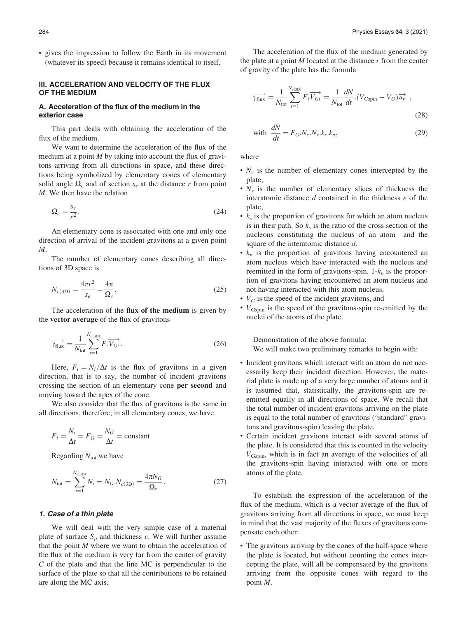<span id="page-4-0"></span>• gives the impression to follow the Earth in its movement (whatever its speed) because it remains identical to itself.

## III. ACCELERATION AND VELOCITY OF THE FLUX OF THE MEDIUM

## A. Acceleration of the flux of the medium in the exterior case

This part deals with obtaining the acceleration of the flux of the medium.

We want to determine the acceleration of the flux of the medium at a point  $M$  by taking into account the flux of gravitons arriving from all directions in space, and these directions being symbolized by elementary cones of elementary solid angle  $\Omega_e$  and of section  $s_e$  at the distance r from point M. We then have the relation

$$
\Omega_e = \frac{s_e}{r^2}.\tag{24}
$$

An elementary cone is associated with one and only one direction of arrival of the incident gravitons at a given point M.

The number of elementary cones describing all directions of 3D space is

$$
N_{c(3D)} = \frac{4\pi r^2}{s_e} = \frac{4\pi}{\Omega_e}.
$$
\n(25)

The acceleration of the flux of the medium is given by the vector average of the flux of gravitons

$$
\overrightarrow{\gamma_{\text{flux}}} = \frac{1}{N_{\text{tot}}} \sum_{i=1}^{N_{c(3D)}} F_i \overrightarrow{V_{Gi}}.
$$
\n(26)

Here,  $F_i = N_i/\Delta t$  is the flux of gravitons in a given direction, that is to say, the number of incident gravitons crossing the section of an elementary cone per second and moving toward the apex of the cone.

We also consider that the flux of gravitons is the same in all directions, therefore, in all elementary cones, we have

$$
F_i = \frac{N_i}{\Delta t} = F_G = \frac{N_G}{\Delta t} = \text{constant}.
$$

Regarding  $N_{\text{tot}}$  we have

$$
N_{\text{tot}} = \sum_{i=1}^{N_{c(3D)}} N_i = N_G.N_{c(3D)} = \frac{4\pi N_G}{\Omega_e}.
$$
 (27)

## 1. Case of a thin plate

We will deal with the very simple case of a material plate of surface  $S_p$  and thickness e. We will further assume that the point  $M$  where we want to obtain the acceleration of the flux of the medium is very far from the center of gravity C of the plate and that the line MC is perpendicular to the surface of the plate so that all the contributions to be retained are along the MC axis.

The acceleration of the flux of the medium generated by the plate at a point  $M$  located at the distance  $r$  from the center of gravity of the plate has the formula

$$
\overrightarrow{\gamma_{\text{flux}}} = \frac{1}{N_{\text{tot}}} \sum_{i=1}^{N_{c(3D)}} F_i \overrightarrow{V_{Gi}} = \frac{1}{N_{\text{tot}}} \frac{dN}{dt} \cdot (V_{Gspin} - V_G) \overrightarrow{u_r} ,
$$
\n(28)

with 
$$
\frac{dN}{dt} = F_G.N_c.N_s.k_s.k_n,
$$
 (29)

where

- $N_c$  is the number of elementary cones intercepted by the plate,
- $N_s$  is the number of elementary slices of thickness the interatomic distance  $d$  contained in the thickness  $e$  of the plate,
- $k_s$  is the proportion of gravitons for which an atom nucleus is in their path. So  $k<sub>s</sub>$  is the ratio of the cross section of the nucleons constituting the nucleus of an atom and the square of the interatomic distance d.
- $k_n$  is the proportion of gravitons having encountered an atom nucleus which have interacted with the nucleus and reemitted in the form of gravitons-spin.  $1-k_n$  is the proportion of gravitons having encountered an atom nucleus and not having interacted with this atom nucleus,
- $V_G$  is the speed of the incident gravitons, and
- $\bullet$   $V_{\text{Gspin}}$  is the speed of the gravitons-spin re-emitted by the nuclei of the atoms of the plate.

Demonstration of the above formula: We will make two preliminary remarks to begin with:

- Incident gravitons which interact with an atom do not necessarily keep their incident direction. However, the material plate is made up of a very large number of atoms and it is assumed that, statistically, the gravitons-spin are reemitted equally in all directions of space. We recall that the total number of incident gravitons arriving on the plate is equal to the total number of gravitons ("standard" gravitons and gravitons-spin) leaving the plate.
- Certain incident gravitons interact with several atoms of the plate. It is considered that this is counted in the velocity VGspin, which is in fact an average of the velocities of all the gravitons-spin having interacted with one or more atoms of the plate.

To establish the expression of the acceleration of the flux of the medium, which is a vector average of the flux of gravitons arriving from all directions in space, we must keep in mind that the vast majority of the fluxes of gravitons compensate each other:

• The gravitons arriving by the cones of the half-space where the plate is located, but without counting the cones intercepting the plate, will all be compensated by the gravitons arriving from the opposite cones with regard to the point M.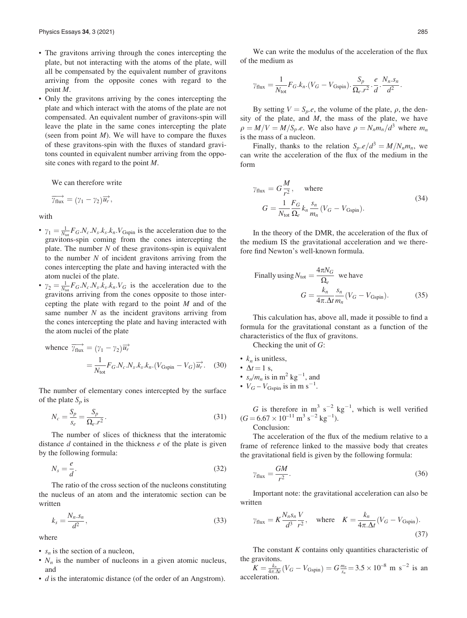- <span id="page-5-0"></span>• The gravitons arriving through the cones intercepting the plate, but not interacting with the atoms of the plate, will all be compensated by the equivalent number of gravitons arriving from the opposite cones with regard to the point M.
- Only the gravitons arriving by the cones intercepting the plate and which interact with the atoms of the plate are not compensated. An equivalent number of gravitons-spin will leave the plate in the same cones intercepting the plate (seen from point  $M$ ). We will have to compare the fluxes of these gravitons-spin with the fluxes of standard gravitons counted in equivalent number arriving from the opposite cones with regard to the point M.

We can therefore write

$$
\overrightarrow{\gamma_{\text{flux}}} = (\gamma_1 - \gamma_2) \overrightarrow{u_r},
$$

with

- $\gamma_1 = \frac{1}{N_{\text{tot}}} F_G.N_c.N_s.k_s.k_n.V_{\text{Gspin}}$  is the acceleration due to the gravitons-spin coming from the cones intercepting the plate. The number  $N$  of these gravitons-spin is equivalent to the number  $N$  of incident gravitons arriving from the cones intercepting the plate and having interacted with the atom nuclei of the plate.
- $\gamma_2 = \frac{1}{N_{\text{tot}}} F_G \cdot N_c \cdot N_s \cdot k_s \cdot k_n \cdot V_G$  is the acceleration due to the gravitons arriving from the cones opposite to those intercepting the plate with regard to the point  $M$  and of the same number  $N$  as the incident gravitons arriving from the cones intercepting the plate and having interacted with the atom nuclei of the plate

whence 
$$
\overrightarrow{v_{\text{flux}}} = (\gamma_1 - \gamma_2) \overrightarrow{u_r}
$$
  
=  $\frac{1}{N_{\text{tot}}} F_G.N_c.N_s.k_s.k_n.(V_{\text{Gspin}} - V_G)\overrightarrow{u_r}$ . (30)

The number of elementary cones intercepted by the surface of the plate  $S_p$  is

$$
N_c = \frac{S_p}{s_e} = \frac{S_p}{\Omega_e r^2}.
$$
\n(31)

The number of slices of thickness that the interatomic distance  $d$  contained in the thickness  $e$  of the plate is given by the following formula:

$$
N_s = \frac{e}{d}.\tag{32}
$$

The ratio of the cross section of the nucleons constituting the nucleus of an atom and the interatomic section can be written

$$
k_s = \frac{N_n \cdot s_n}{d^2},\tag{33}
$$

where

- $s_n$  is the section of a nucleon,
- $N_n$  is the number of nucleons in a given atomic nucleus, and
- $\bullet$  d is the interatomic distance (of the order of an Angstrom).

We can write the modulus of the acceleration of the flux of the medium as

$$
\gamma_{\text{flux}} = \frac{1}{N_{\text{tot}}} F_G.k_n.(V_G - V_{\text{Gspin}}).\frac{S_p}{\Omega_e.r^2}.\frac{e}{d}.\frac{N_n.s_n}{d^2}.
$$

By setting  $V = S_p.e$ , the volume of the plate,  $\rho$ , the density of the plate, and  $M$ , the mass of the plate, we have  $\rho = M/V = M/S_p.e.$  We also have  $\rho = N_n m_n/d^3$  where  $m_n$ is the mass of a nucleon.

Finally, thanks to the relation  $S_p.e/d^3 = M/N_n m_n$ , we can write the acceleration of the flux of the medium in the form

$$
\gamma_{\text{flux}} = G \frac{M}{r^2}, \quad \text{where}
$$
\n
$$
G = \frac{1}{N_{\text{tot}}} \frac{F_G}{\Omega_e} k_n \frac{s_n}{m_n} (V_G - V_{\text{Gspin}}).
$$
\n(34)

In the theory of the DMR, the acceleration of the flux of the medium IS the gravitational acceleration and we therefore find Newton's well-known formula.

Finally using 
$$
N_{\text{tot}} = \frac{4\pi N_G}{\Omega_e}
$$
 we have  
\n
$$
G = \frac{k_n}{4\pi \Delta t} \frac{s_n}{m_n} (V_G - V_{\text{Gspin}}). \tag{35}
$$

This calculation has, above all, made it possible to find a formula for the gravitational constant as a function of the characteristics of the flux of gravitons.

Checking the unit of G:

- $k_n$  is unitless, •  $\Delta t = 1$  s, •  $s_n/m_n$  is in  $m^2$  kg<sup>-1</sup>, and
- $V_G V_{\text{Gspin}}$  is in m s<sup>-1</sup>.

G is therefore in  $m^3 s^{-2} kg^{-1}$ , which is well verified  $(G = 6.67 \times 10^{-11} \text{ m}^3 \text{ s}^{-2} \text{ kg}^{-1}).$ 

Conclusion:

The acceleration of the flux of the medium relative to a frame of reference linked to the massive body that creates the gravitational field is given by the following formula:

$$
\gamma_{\text{flux}} = \frac{GM}{r^2}.\tag{36}
$$

Important note: the gravitational acceleration can also be written

$$
\gamma_{\text{flux}} = K \frac{N_n s_n V}{d^3 r^2}
$$
, where  $K = \frac{k_n}{4\pi \Delta t} (V_G - V_{\text{Gspin}})$ . (37)

The constant  $K$  contains only quantities characteristic of the gravitons.

 $K = \frac{k_n}{4\pi \Delta t} (V_G - V_{\text{Gspin}}) = G \frac{m_n}{s_n} = 3.5 \times 10^{-8} \text{ m s}^{-2}$  is an acceleratio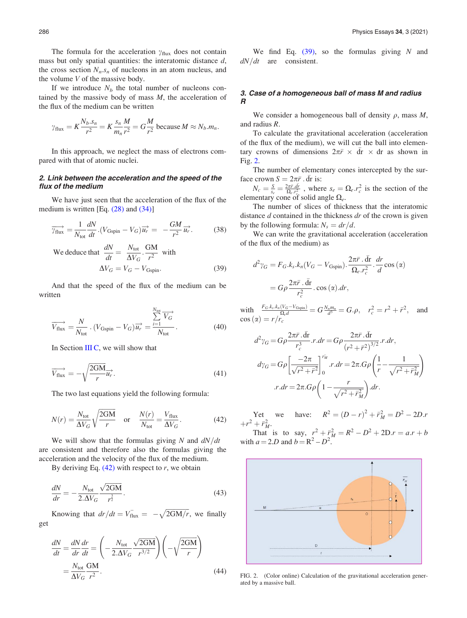The formula for the acceleration  $\gamma_{\text{flux}}$  does not contain mass but only spatial quantities: the interatomic distance  $d$ , the cross section  $N_n$ . $s_n$  of nucleons in an atom nucleus, and the volume  $V$  of the massive body.

If we introduce  $N_b$  the total number of nucleons contained by the massive body of mass  $M$ , the acceleration of the flux of the medium can be written

$$
\gamma_{\text{flux}} = K \frac{N_b \cdot s_n}{r^2} = K \frac{s_n}{m_n} \frac{M}{r^2} = G \frac{M}{r^2}
$$
 because  $M \approx N_b \cdot m_n$ .

In this approach, we neglect the mass of electrons compared with that of atomic nuclei.

## 2. Link between the acceleration and the speed of the flux of the medium

We have just seen that the acceleration of the flux of the medium is written [Eq. [\(28\)](#page-4-0) and [\(34\)\]](#page-5-0)

$$
\overrightarrow{\gamma_{\text{flux}}} = \frac{1}{N_{\text{tot}}} \frac{dN}{dt} \cdot (V_{\text{Gspin}} - V_G) \overrightarrow{u_r} = -\frac{GM}{r^2} \overrightarrow{u_r}.
$$
 (38)

We deduce that 
$$
\frac{dN}{dt} = \frac{N_{\text{tot}}}{\Delta V_G} \cdot \frac{GM}{r^2}
$$
 with  
\n
$$
\Delta V_G = V_G - V_{\text{Gspin}}.
$$
\n(39)

And that the speed of the flux of the medium can be written

$$
\overrightarrow{V_{\text{flux}}} = \frac{N}{N_{\text{tot}}} \cdot (V_{\text{Gspin}} - V_G) \overrightarrow{u_r} = \frac{\sum_{i=1}^{N_{\text{tot}}} \overrightarrow{V_G}}{N_{\text{tot}}}.
$$
(40)

In Section [III C,](#page-8-0) we will show that

$$
\overrightarrow{V_{\text{flux}}} = -\sqrt{\frac{2GM}{r}} \overrightarrow{u_r}.
$$
\n(41)

The two last equations yield the following formula:

$$
N(r) = \frac{N_{\text{tot}}}{\Delta V_G} \sqrt{\frac{2GM}{r}} \quad \text{or} \quad \frac{N(r)}{N_{\text{tot}}} = \frac{V_{\text{flux}}}{\Delta V_G}.
$$
 (42)

We will show that the formulas giving N and  $dN/dt$ are consistent and therefore also the formulas giving the acceleration and the velocity of the flux of the medium.

By deriving Eq.  $(42)$  with respect to r, we obtain

$$
\frac{dN}{dr} = -\frac{N_{\text{tot}}}{2.\Delta V_G} \frac{\sqrt{2GM}}{r^{\frac{3}{2}}}.
$$
\n(43)

Knowing that  $dr/dt = V_{\text{flux}} = -\sqrt{2GM/r}$ , we finally get

$$
\frac{dN}{dt} = \frac{dN}{dr}\frac{dr}{dt} = \left(-\frac{N_{\text{tot}}}{2.\Delta V_G} \frac{\sqrt{2GM}}{r^{3/2}}\right) \left(-\sqrt{\frac{2GM}{r}}\right)
$$
\n
$$
= \frac{N_{\text{tot}}}{\Delta V_G} \frac{GM}{r^2}.
$$
\n(44)

We find Eq.  $(39)$ , so the formulas giving N and  $dN/dt$  are consistent.

# 3. Case of a homogeneous ball of mass M and radius R

We consider a homogeneous ball of density  $\rho$ , mass  $M$ , and radius R.

To calculate the gravitational acceleration (acceleration of the flux of the medium), we will cut the ball into elementary crowns of dimensions  $2\pi \bar{r} \times d\bar{r} \times dr$  as shown in Fig. 2.

The number of elementary cones intercepted by the surface crown  $S = 2\pi \bar{r} \cdot d\bar{r}$  is:

 $N_c = \frac{S}{s_e} = \frac{2\pi \bar{r}_c \bar{dr}}{\Omega_e r_{c}^2}$ , where  $s_e = \Omega_e r_c^2$  is the section of the elementary cone of solid angle  $\Omega_e$ .

The number of slices of thickness that the interatomic distance  $d$  contained in the thickness  $dr$  of the crown is given by the following formula:  $N_s = dr/d$ .

We can write the gravitational acceleration (acceleration of the flux of the medium) as

$$
d^2 \gamma_G = F_G.k_s.k_n(V_G - V_{\text{Gspin}}).\frac{2\pi \bar{r}.\bar{dr}}{\Omega_e.r_c^2}.\frac{dr}{d}\cos{(\alpha)}
$$

$$
= G\rho \frac{2\pi \bar{r}.\bar{dr}}{r_c^2}.\cos{(\alpha)}.dr,
$$

with  $\frac{F_G.k_s.k_n(V_G-V_{\text{Gspin}})}{\Omega_e d} = G\frac{N_n m_n}{d^3} = G.\rho, \quad r_c^2 = r^2 + \bar{r}^2,$  and  $cos(\alpha) = r/r_c$ 

$$
d^2\gamma_G = G\rho \frac{2\pi \bar{r} \cdot d\bar{r}}{r_c^3} r \cdot dr = G\rho \frac{2\pi \bar{r} \cdot d\bar{r}}{(r^2 + \bar{r}^2)^{3/2}} r \cdot dr,
$$
  

$$
d\gamma_G = G\rho \left[ \frac{-2\pi}{\sqrt{r^2 + \bar{r}^2}} \right]_0^{r_M} r \cdot dr = 2\pi \cdot G\rho \left( \frac{1}{r} - \frac{1}{\sqrt{r^2 + \bar{r}_M^2}} \right)
$$
  

$$
\therefore dr = 2\pi \cdot G\rho \left( 1 - \frac{r}{\sqrt{r^2 + \bar{r}_M^2}} \right) \cdot dr.
$$

Yet we have:  $R^2 = (D - r)^2 + \bar{r}_M^2 = D^2 - 2D \cdot r$  $+r^2 + \bar{r}_M^2$ .

That is to say,  $r^2 + \bar{r}_M^2 = R^2 - D^2 + 2D \cdot r = a \cdot r + b$ with  $a = 2.D$  and  $b = R^2 - D^2$ .



FIG. 2. (Color online) Calculation of the gravitational acceleration generated by a massive ball.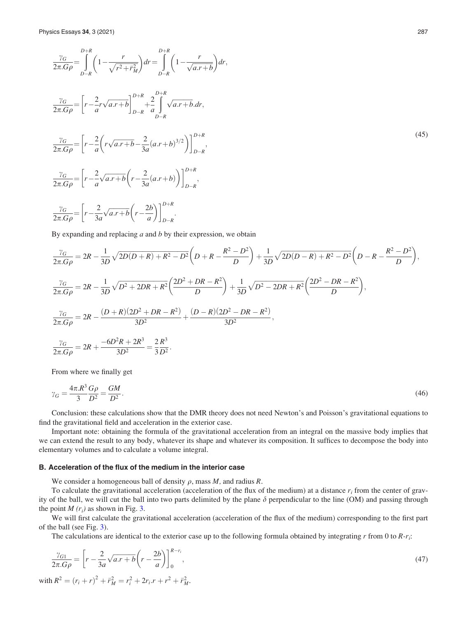$$
\frac{\gamma_G}{2\pi G \rho} = \int_{D-R}^{D+R} \left( 1 - \frac{r}{\sqrt{r^2 + r_M^2}} \right) dr = \int_{D-R}^{D+R} \left( 1 - \frac{r}{\sqrt{a r + b}} \right) dr,
$$
\n
$$
\frac{\gamma_G}{2\pi G \rho} = \left[ r - \frac{2}{a} r \sqrt{a r + b} \right]_{D-R}^{D+R} + \frac{2}{a} \int_{D-R}^{D+R} \sqrt{a r + b} dr,
$$
\n
$$
\frac{\gamma_G}{2\pi G \rho} = \left[ r - \frac{2}{a} \left( r \sqrt{a r + b} - \frac{2}{3a} (a r + b)^{3/2} \right) \right]_{D-R}^{D+R},
$$
\n
$$
\frac{\gamma_G}{2\pi G \rho} = \left[ r - \frac{2}{a} \sqrt{a r + b} \left( r - \frac{2}{3a} (a r + b) \right) \right]_{D-R}^{D+R},
$$
\n
$$
\frac{\gamma_G}{2\pi G \rho} = \left[ r - \frac{2}{a} \sqrt{a r + b} \left( r - \frac{2b}{a} \right) \right]_{D-R}^{D+R},
$$
\n(45)

By expanding and replacing  $a$  and  $b$  by their expression, we obtain

$$
\frac{\gamma_G}{2\pi.G\rho} = 2R - \frac{1}{3D}\sqrt{2D(D+R) + R^2 - D^2}\left(D+R - \frac{R^2 - D^2}{D}\right) + \frac{1}{3D}\sqrt{2D(D-R) + R^2 - D^2}\left(D-R - \frac{R^2 - D^2}{D}\right),
$$
  

$$
\frac{\gamma_G}{2\pi.G\rho} = 2R - \frac{1}{3D}\sqrt{D^2 + 2DR + R^2}\left(\frac{2D^2 + DR - R^2}{D}\right) + \frac{1}{3D}\sqrt{D^2 - 2DR + R^2}\left(\frac{2D^2 - DR - R^2}{D}\right),
$$
  

$$
\frac{\gamma_G}{2\pi.G\rho} = 2R - \frac{(D+R)(2D^2 + DR - R^2)}{3D^2} + \frac{(D-R)(2D^2 - DR - R^2)}{3D^2},
$$
  

$$
\frac{\gamma_G}{2\pi.G\rho} = 2R + \frac{-6D^2R + 2R^3}{3D^2} = \frac{2}{3}\frac{R^3}{D^2}.
$$

From where we finally get

$$
\gamma_G = \frac{4\pi \cdot R^3 G\rho}{3} = \frac{GM}{D^2}.\tag{46}
$$

Conclusion: these calculations show that the DMR theory does not need Newton's and Poisson's gravitational equations to find the gravitational field and acceleration in the exterior case.

Important note: obtaining the formula of the gravitational acceleration from an integral on the massive body implies that we can extend the result to any body, whatever its shape and whatever its composition. It suffices to decompose the body into elementary volumes and to calculate a volume integral.

# B. Acceleration of the flux of the medium in the interior case

We consider a homogeneous ball of density  $\rho$ , mass M, and radius R.

To calculate the gravitational acceleration (acceleration of the flux of the medium) at a distance  $r_i$  from the center of gravity of the ball, we will cut the ball into two parts delimited by the plane  $\delta$  perpendicular to the line (OM) and passing through the point  $M(r_i)$  as shown in Fig. [3.](#page-9-0)

We will first calculate the gravitational acceleration (acceleration of the flux of the medium) corresponding to the first part of the ball (see Fig. [3](#page-9-0)).

The calculations are identical to the exterior case up to the following formula obtained by integrating  $r$  from 0 to  $R-r_i$ :

$$
\frac{\gamma_{G1}}{2\pi.G\rho} = \left[r - \frac{2}{3a}\sqrt{a.r + b}\left(r - \frac{2b}{a}\right)\right]_0^{R - r_i},
$$
  
\nwith  $R^2 = (r_i + r)^2 + \overline{r}_M^2 = r_i^2 + 2r_i.r + r^2 + \overline{r}_M^2.$  (47)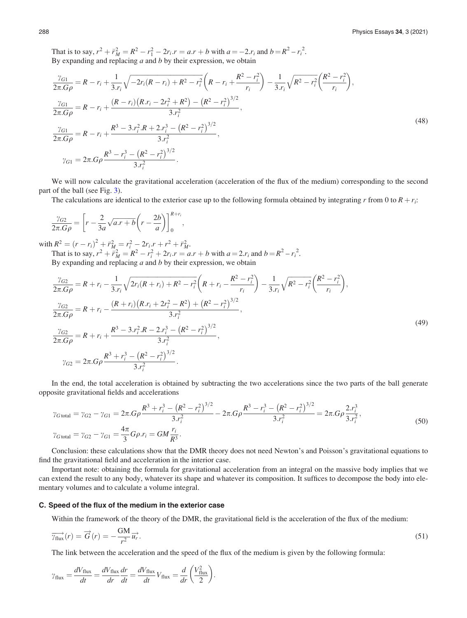<span id="page-8-0"></span>That is to say,  $r^2 + \bar{r}_M^2 = R^2 - r_1^2 - 2r_i \cdot r = a \cdot r + b$  with  $a = -2r_i$  and  $b = R^2 - r_i^2$ . By expanding and replacing  $a$  and  $b$  by their expression, we obtain

$$
\frac{\gamma_{G1}}{2\pi.G\rho} = R - r_i + \frac{1}{3.r_i} \sqrt{-2r_i(R - r_i) + R^2 - r_i^2} \left(R - r_i + \frac{R^2 - r_i^2}{r_i}\right) - \frac{1}{3.r_i} \sqrt{R^2 - r_i^2} \left(\frac{R^2 - r_i^2}{r_i}\right),
$$
\n
$$
\frac{\gamma_{G1}}{2\pi.G\rho} = R - r_i + \frac{(R - r_i)(R.r_i - 2r_i^2 + R^2) - (R^2 - r_i^2)^{3/2}}{3.r_i^2},
$$
\n
$$
\frac{\gamma_{G1}}{2\pi.G\rho} = R - r_i + \frac{R^3 - 3.r_i^2.R + 2.r_i^3 - (R^2 - r_i^2)^{3/2}}{3.r_i^2},
$$
\n
$$
\gamma_{G1} = 2\pi.G\rho \frac{R^3 - r_i^3 - (R^2 - r_i^2)^{3/2}}{3.r_i^2}.
$$
\n(48)

We will now calculate the gravitational acceleration (acceleration of the flux of the medium) corresponding to the second part of the ball (see Fig. [3](#page-9-0)).

The calculations are identical to the exterior case up to the following formula obtained by integrating r from 0 to  $R + r_i$ :

$$
\frac{\gamma_{G2}}{2\pi.G\rho} = \left[r - \frac{2}{3a}\sqrt{a.r + b}\left(r - \frac{2b}{a}\right)\right]_0^{R+r_i},
$$

with  $R^2 = (r - r_i)^2 + \bar{r}_M^2 = r_i^2 - 2r_i \cdot r + r^2 + \bar{r}_M^2$ . That is to say,  $r^2 + \frac{n^2}{r^2} = R^2 - r_i^2 + 2r_i$ .  $r = a.r + b$  with  $a = 2.r_i$  and  $b = R^2 - r_i^2$ .

By expanding and replacing  $a$  and  $b$  by their expression, we obtain

$$
\frac{\gamma_{G2}}{2\pi.G\rho} = R + r_i - \frac{1}{3r_i} \sqrt{2r_i(R + r_i) + R^2 - r_i^2} \left(R + r_i - \frac{R^2 - r_i^2}{r_i}\right) - \frac{1}{3r_i} \sqrt{R^2 - r_i^2} \left(\frac{R^2 - r_i^2}{r_i}\right),
$$
\n
$$
\frac{\gamma_{G2}}{2\pi.G\rho} = R + r_i - \frac{(R + r_i)(R\cdot r_i + 2r_i^2 - R^2) + (R^2 - r_i^2)^{3/2}}{3r_i^2},
$$
\n
$$
\frac{\gamma_{G2}}{2\pi.G\rho} = R + r_i + \frac{R^3 - 3r_i^2R - 2r_i^3 - (R^2 - r_i^2)^{3/2}}{3r_i^2},
$$
\n
$$
\gamma_{G2} = 2\pi.G\rho \frac{R^3 + r_i^3 - (R^2 - r_i^2)^{3/2}}{3r_i^2}.
$$
\n(49)

In the end, the total acceleration is obtained by subtracting the two accelerations since the two parts of the ball generate opposite gravitational fields and accelerations

$$
\gamma_{G\text{ total}} = \gamma_{G2} - \gamma_{G1} = 2\pi. G\rho \frac{R^3 + r_i^3 - (R^2 - r_i^2)^{3/2}}{3 \cdot r_i^2} - 2\pi. G\rho \frac{R^3 - r_i^3 - (R^2 - r_i^2)^{3/2}}{3 \cdot r_i^2} = 2\pi. G\rho \frac{2 \cdot r_i^3}{3 \cdot r_i^2},
$$
  
\n
$$
\gamma_{G\text{ total}} = \gamma_{G2} - \gamma_{G1} = \frac{4\pi}{3} G\rho \cdot r_i = G M \frac{r_i}{R^3}.
$$
\n(50)

Conclusion: these calculations show that the DMR theory does not need Newton's and Poisson's gravitational equations to find the gravitational field and acceleration in the interior case.

Important note: obtaining the formula for gravitational acceleration from an integral on the massive body implies that we can extend the result to any body, whatever its shape and whatever its composition. It suffices to decompose the body into elementary volumes and to calculate a volume integral.

#### C. Speed of the flux of the medium in the exterior case

Within the framework of the theory of the DMR, the gravitational field is the acceleration of the flux of the medium:

$$
\overrightarrow{\gamma_{\text{flux}}}(r) = \overrightarrow{G}(r) = -\frac{\text{GM}}{r^2} \overrightarrow{u_r}.
$$
\n(51)

The link between the acceleration and the speed of the flux of the medium is given by the following formula:

:

$$
\gamma_{\text{flux}} = \frac{dV_{\text{flux}}}{dt} = \frac{dV_{\text{flux}}}{dr}\frac{dr}{dt} = \frac{dV_{\text{flux}}}{dt}V_{\text{flux}} = \frac{d}{dr}\left(\frac{V_{\text{flux}}^2}{2}\right)
$$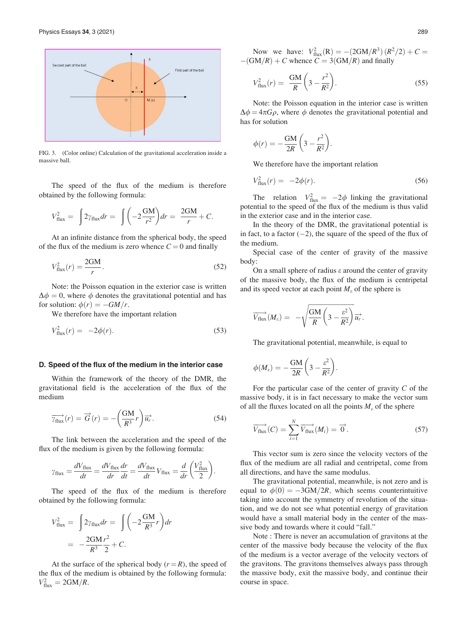<span id="page-9-0"></span>

FIG. 3. (Color online) Calculation of the gravitational acceleration inside a massive ball.

The speed of the flux of the medium is therefore obtained by the following formula:

$$
V_{\text{flux}}^2 = \int 2\gamma_{\text{flux}} dr = \int \left(-2\frac{\text{GM}}{r^2}\right) dr = \frac{2\text{GM}}{r} + C.
$$

At an infinite distance from the spherical body, the speed of the flux of the medium is zero whence  $C = 0$  and finally

$$
V_{\text{flux}}^2(r) = \frac{2GM}{r}.\tag{52}
$$

Note: the Poisson equation in the exterior case is written  $\Delta \phi = 0$ , where  $\phi$  denotes the gravitational potential and has for solution:  $\phi(r) = -GM/r$ .

We therefore have the important relation

$$
V_{\text{flux}}^2(r) = -2\phi(r). \tag{53}
$$

#### D. Speed of the flux of the medium in the interior case

Within the framework of the theory of the DMR, the gravitational field is the acceleration of the flux of the medium

$$
\overrightarrow{\gamma_{\text{flux}}}(r) = \overrightarrow{G}(r) = -\left(\frac{\text{GM}}{R^3}r\right)\overrightarrow{u_r}.\tag{54}
$$

The link between the acceleration and the speed of the flux of the medium is given by the following formula:

$$
\gamma_{\text{flux}} = \frac{dV_{\text{flux}}}{dt} = \frac{dV_{\text{flux}}}{dr}\frac{dr}{dt} = \frac{dV_{\text{flux}}}{dt}V_{\text{flux}} = \frac{d}{dr}\left(\frac{V_{\text{flux}}^2}{2}\right).
$$

The speed of the flux of the medium is therefore obtained by the following formula:

$$
V_{\text{flux}}^2 = \int 2\gamma_{\text{flux}} dr = \int \left( -2 \frac{GM}{R^3} r \right) dr
$$

$$
= -\frac{2GM}{R^3} \frac{r^2}{2} + C.
$$

At the surface of the spherical body  $(r = R)$ , the speed of the flux of the medium is obtained by the following formula:  $V_{\text{flux}}^2 = 2GM/R.$ 

Now we have:  $V_{\text{flux}}^2(R) = -(2GM/R^3)(R^2/2) + C =$  $-(GM/R) + C$  whence  $C = 3(GM/R)$  and finally

$$
V_{\text{flux}}^2(r) = \frac{\text{GM}}{R} \left(3 - \frac{r^2}{R^2}\right). \tag{55}
$$

Note: the Poisson equation in the interior case is written  $\Delta \phi = 4\pi G \rho$ , where  $\phi$  denotes the gravitational potential and has for solution

$$
\phi(r) = -\frac{GM}{2R} \left( 3 - \frac{r^2}{R^2} \right).
$$

We therefore have the important relation

$$
V_{\text{flux}}^2(r) = -2\phi(r). \tag{56}
$$

The relation  $V_{\text{flux}}^2 = -2\phi$  linking the gravitational potential to the speed of the flux of the medium is thus valid in the exterior case and in the interior case.

In the theory of the DMR, the gravitational potential is in fact, to a factor  $(-2)$ , the square of the speed of the flux of the medium.

Special case of the center of gravity of the massive body:

On a small sphere of radius  $\varepsilon$  around the center of gravity of the massive body, the flux of the medium is centripetal and its speed vector at each point  $M_{\varepsilon}$  of the sphere is

$$
\overrightarrow{V_{\text{flux}}}(M_{\varepsilon}) = -\sqrt{\frac{\text{GM}}{R}\left(3-\frac{\varepsilon^2}{R^2}\right)}\overrightarrow{u_r}.
$$

The gravitational potential, meanwhile, is equal to

$$
\phi(M_{\varepsilon})=-\frac{GM}{2R}\bigg(3-\frac{\varepsilon^2}{R^2}\bigg).
$$

For the particular case of the center of gravity C of the massive body, it is in fact necessary to make the vector sum of all the fluxes located on all the points  $M_{\varepsilon}$  of the sphere

$$
\overrightarrow{V_{\text{flux}}}(C) = \sum_{i=1}^{N} \overrightarrow{V_{\text{flux}}}(M_i) = \overrightarrow{0}.
$$
 (57)

This vector sum is zero since the velocity vectors of the flux of the medium are all radial and centripetal, come from all directions, and have the same modulus.

The gravitational potential, meanwhile, is not zero and is equal to  $\phi(0) = -3GM/2R$ , which seems counterintuitive taking into account the symmetry of revolution of the situation, and we do not see what potential energy of gravitation would have a small material body in the center of the massive body and towards where it could "fall."

Note : There is never an accumulation of gravitons at the center of the massive body because the velocity of the flux of the medium is a vector average of the velocity vectors of the gravitons. The gravitons themselves always pass through the massive body, exit the massive body, and continue their course in space.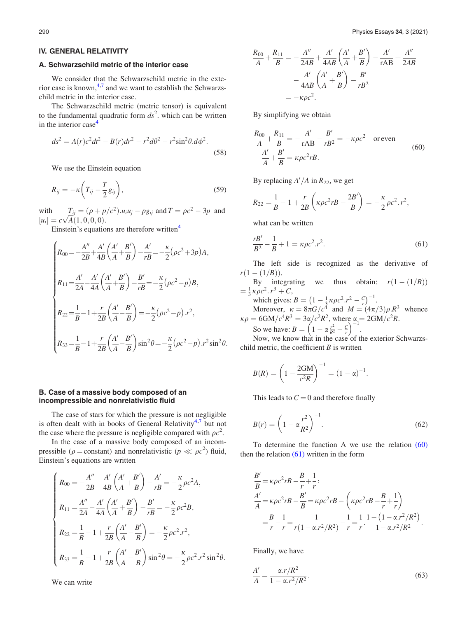#### IV. GENERAL RELATIVITY

#### A. Schwarzschild metric of the interior case

We consider that the Schwarzschild metric in the exterior case is known,  $4,7$  and we want to establish the Schwarzschild metric in the interior case.

The Schwarzschild metric (metric tensor) is equivalent to the fundamental quadratic form  $ds^2$ , which can be written in the interior case $4$ 

$$
ds^{2} = A(r)c^{2}dt^{2} - B(r)dr^{2} - r^{2}d\theta^{2} - r^{2}\sin^{2}\theta.d\phi^{2}.
$$
 (58)

We use the Einstein equation

$$
R_{ij} = -\kappa \left( T_{ij} - \frac{T}{2} g_{ij} \right),\tag{59}
$$

with  $T_{ij} = (\rho + p/c^2) . u_i u_j - pg_{ij}$  and  $T = \rho c^2 - 3p$  and with  $I_{ij} = (\rho + p)$ <br>  $[u_i] = c\sqrt{A(1, 0, 0, 0)}.$ 

Einstein's equations are therefore written<sup>[4](#page-17-0)</sup>

$$
\begin{cases}\nR_{00} = -\frac{A''}{2B} + \frac{A'}{4B} \left( \frac{A'}{A} + \frac{B'}{B} \right) - \frac{A'}{rB} = -\frac{\kappa}{2} \left( \rho c^2 + 3p \right) A, \\
R_{11} = \frac{A'}{2A} - \frac{A'}{4A} \left( \frac{A'}{A} + \frac{B'}{B} \right) - \frac{B'}{rB} = -\frac{\kappa}{2} \left( \rho c^2 - p \right) B, \\
R_{22} = \frac{1}{B} - 1 + \frac{r}{2B} \left( \frac{A'}{A} - \frac{B'}{B} \right) = -\frac{\kappa}{2} \left( \rho c^2 - p \right) .r^2, \\
R_{33} = \frac{1}{B} - 1 + \frac{r}{2B} \left( \frac{A'}{A} - \frac{B'}{B} \right) \sin^2 \theta = -\frac{\kappa}{2} \left( \rho c^2 - p \right) .r^2 \sin^2 \theta.\n\end{cases}
$$

## B. Case of a massive body composed of an incompressible and nonrelativistic fluid

The case of stars for which the pressure is not negligible is often dealt with in books of General Relativity<sup>[4,7](#page-17-0)</sup> but not the case where the pressure is negligible compared with  $\rho c^2$ .

In the case of a massive body composed of an incompressible ( $\rho$  = constant) and nonrelativistic ( $p \ll \rho c^2$ ) fluid, Einstein's equations are written

$$
\begin{cases}\nR_{00} = -\frac{A''}{2B} + \frac{A'}{4B} \left( \frac{A'}{A} + \frac{B'}{B} \right) - \frac{A'}{rB} = -\frac{\kappa}{2} \rho c^2 A, \\
R_{11} = \frac{A''}{2A} - \frac{A'}{4A} \left( \frac{A'}{A} + \frac{B'}{B} \right) - \frac{B'}{rB} = -\frac{\kappa}{2} \rho c^2 B, \\
R_{22} = \frac{1}{B} - 1 + \frac{r}{2B} \left( \frac{A'}{A} - \frac{B'}{B} \right) = -\frac{\kappa}{2} \rho c^2 . r^2, \\
R_{33} = \frac{1}{B} - 1 + \frac{r}{2B} \left( \frac{A'}{A} - \frac{B'}{B} \right) \sin^2 \theta = -\frac{\kappa}{2} \rho c^2 . r^2 \sin^2 \theta.\n\end{cases}
$$

We can write

$$
\frac{R_{00}}{A} + \frac{R_{11}}{B} = -\frac{A''}{2AB} + \frac{A'}{4AB} \left(\frac{A'}{A} + \frac{B'}{B}\right) - \frac{A'}{rAB} + \frac{A''}{2AB} \n- \frac{A'}{4AB} \left(\frac{A'}{A} + \frac{B'}{B}\right) - \frac{B'}{rB^2} \n= -\kappa \rho c^2.
$$

By simplifying we obtain

$$
\frac{R_{00}}{A} + \frac{R_{11}}{B} = -\frac{A'}{rAB} - \frac{B'}{rB^2} = -\kappa \rho c^2 \quad \text{or even}
$$
\n
$$
\frac{A'}{A} + \frac{B'}{B} = \kappa \rho c^2 rB.
$$
\n(60)

By replacing  $A'/A$  in  $R_{22}$ , we get

$$
R_{22} = \frac{1}{B} - 1 + \frac{r}{2B} \left( \kappa \rho c^2 r B - \frac{2B'}{B} \right) = -\frac{\kappa}{2} \rho c^2 r^2,
$$

what can be written

$$
\frac{rB'}{B^2} - \frac{1}{B} + 1 = \kappa \rho c^2 r^2.
$$
 (61)

The left side is recognized as the derivative of  $r(1-(1/B)).$ 

By integrating we thus obtain:  $r(1-(1/B))$  $=\frac{1}{3}\kappa \rho c^2 \cdot r^3 + C,$ 

which gives:  $B = \left(1 - \frac{1}{3}\kappa\rho c^2 \cdot r^2 - \frac{C}{r}\right)$  $\left(1 - \frac{1}{3} \kappa \rho c^2 r^2 - \frac{C}{r}\right)^{-1}.$ 

Moreover,  $\kappa = 8\pi G/c^4$  and  $M = (4\pi/3)\rho \cdot R^3$  whence  $\kappa \rho = 6GM/c^4 R^3 = 3\alpha/c^2 R^2$ , where  $\alpha = 2GM/c^2R$ .

So we have:  $B = \left(1 - \alpha \frac{r^2}{R^2} - \frac{C}{r}\right)^{-1}$ .

Now, we know that in the case of the exterior Schwarzschild metric, the coefficient  $B$  is written

$$
B(R) = \left(1 - \frac{2GM}{c^2R}\right)^{-1} = (1 - \alpha)^{-1}.
$$

This leads to  $C = 0$  and therefore finally

$$
B(r) = \left(1 - \alpha \frac{r^2}{R^2}\right)^{-1}.
$$
 (62)

To determine the function A we use the relation (60) then the relation  $(61)$  written in the form

$$
\frac{B'}{B} = \kappa \rho c^2 r B - \frac{B}{r} + \frac{1}{r};
$$
\n
$$
\frac{A'}{A} = \kappa \rho c^2 r B - \frac{B'}{B} = \kappa \rho c^2 r B - \left(\kappa \rho c^2 r B - \frac{B}{r} + \frac{1}{r}\right)
$$
\n
$$
= \frac{B}{r} - \frac{1}{r} = \frac{1}{r(1 - \alpha r^2/R^2)} - \frac{1}{r} = \frac{1}{r} \cdot \frac{1 - (1 - \alpha r^2/R^2)}{1 - \alpha r^2/R^2}.
$$

Finally, we have

$$
\frac{A'}{A} = \frac{\alpha \cdot r / R^2}{1 - \alpha \cdot r^2 / R^2}.
$$
\n(63)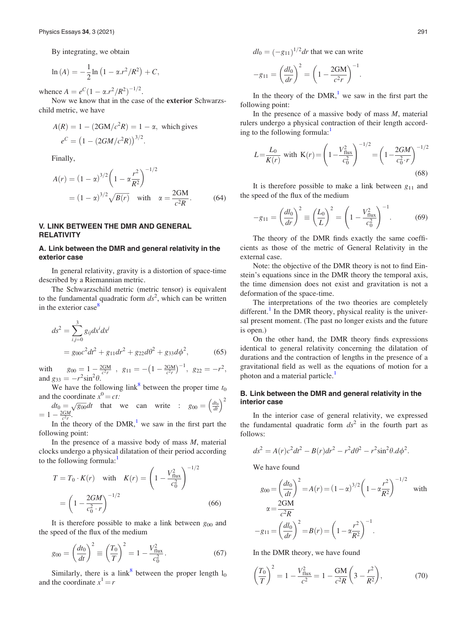By integrating, we obtain

$$
\ln(A) = -\frac{1}{2}\ln(1 - \alpha r^2/R^2) + C,
$$

whence  $A = e^C (1 - \alpha r^2/R^2)^{-1/2}$ .

Now we know that in the case of the exterior Schwarzschild metric, we have

$$
A(R) = 1 - (2GM/c^2 R) = 1 - \alpha, \text{ which gives}
$$
  

$$
e^C = (1 - (2GM/c^2 R))^{3/2}.
$$

Finally,

$$
A(r) = (1 - \alpha)^{3/2} \left(1 - \alpha \frac{r^2}{R^2}\right)^{-1/2}
$$
  
=  $(1 - \alpha)^{3/2} \sqrt{B(r)}$  with  $\alpha = \frac{2GM}{c^2 R}$ . (64)

## V. LINK BETWEEN THE DMR AND GENERAL **RELATIVITY**

### A. Link between the DMR and general relativity in the exterior case

In general relativity, gravity is a distortion of space-time described by a Riemannian metric.

The Schwarzschild metric (metric tensor) is equivalent to the fundamental quadratic form  $ds^2$ , which can be written in the exterior case<sup>[8](#page-17-0)</sup>

$$
ds^{2} = \sum_{i,j=0}^{3} g_{ij} dx^{i} dx^{j}
$$
  
=  $g_{00}c^{2}dt^{2} + g_{11}dr^{2} + g_{22}d\theta^{2} + g_{33}d\phi^{2}$ , (65)

with  $g_{00} = 1 - \frac{2GM}{c^2r}$ ,  $g_{11} = -\left(1 - \frac{2GM}{c^2r}\right)$  $\left(1-\frac{2GM}{c^2r}\right)^{-1}, \ g_{22}=-r^2,$ and  $g_{33} = -r^2 \sin^2 \theta$ .

We have the following link<sup>[8](#page-17-0)</sup> between the proper time  $t_0$ and the coordinate  $x^0 = ct$ :

and the coordinate 
$$
x^2 = ct
$$
:  
\n $dt_0 = \sqrt{g_{00}} dt$  that we can write :  $g_{00} = \left(\frac{dt_0}{dt}\right)^2$   
\n $= 1 - \frac{2GM}{c^2r}$ .

In the theory of the DMR,<sup>[1](#page-17-0)</sup> we saw in the first part the following point:

In the presence of a massive body of mass  $M$ , material clocks undergo a physical dilatation of their period according to the following formula: $<sup>1</sup>$  $<sup>1</sup>$  $<sup>1</sup>$ </sup>

$$
T = T_0 \cdot K(r) \quad \text{with} \quad K(r) = \left(1 - \frac{V_{\text{flux}}^2}{c_0^2}\right)^{-1/2}
$$

$$
= \left(1 - \frac{2GM}{c_0^2 \cdot r}\right)^{-1/2} \tag{66}
$$

It is therefore possible to make a link between  $g_{00}$  and the speed of the flux of the medium

$$
g_{00} = \left(\frac{dt_0}{dt}\right)^2 \equiv \left(\frac{T_0}{T}\right)^2 = 1 - \frac{V_{\text{flux}}^2}{c_0^2}.
$$
 (67)

Similarly, there is a link<sup>[8](#page-17-0)</sup> between the proper length  $l_0$ and the coordinate  $x^1 = r$ 

 $dl_0 = (-g_{11})^{1/2} dr$  that we can write

$$
-g_{11} = \left(\frac{dl_0}{dr}\right)^2 = \left(1 - \frac{2GM}{c^2r}\right)^{-1}
$$

In the theory of the  $DMR$ ,<sup>[1](#page-17-0)</sup> we saw in the first part the following point:

:

In the presence of a massive body of mass  $M$ , material rulers undergo a physical contraction of their length according to the following formula: $<sup>1</sup>$  $<sup>1</sup>$  $<sup>1</sup>$ </sup>

$$
L = \frac{L_0}{K(r)} \text{ with } K(r) = \left(1 - \frac{V_{\text{flux}}^2}{c_0^2}\right)^{-1/2} = \left(1 - \frac{2GM}{c_0^2 \cdot r}\right)^{-1/2} \tag{68}
$$

It is therefore possible to make a link between  $g_{11}$  and the speed of the flux of the medium

$$
-g_{11} = \left(\frac{dl_0}{dr}\right)^2 \equiv \left(\frac{L_0}{L}\right)^2 = \left(1 - \frac{V_{\text{flux}}^2}{c_0^2}\right)^{-1}.\tag{69}
$$

The theory of the DMR finds exactly the same coefficients as those of the metric of General Relativity in the external case.

Note: the objective of the DMR theory is not to find Einstein's equations since in the DMR theory the temporal axis, the time dimension does not exist and gravitation is not a deformation of the space-time.

The interpretations of the two theories are completely different.<sup>[1](#page-17-0)</sup> In the DMR theory, physical reality is the universal present moment. (The past no longer exists and the future is open.)

On the other hand, the DMR theory finds expressions identical to general relativity concerning the dilatation of durations and the contraction of lengths in the presence of a gravitational field as well as the equations of motion for a photon and a material particle.<sup>[1](#page-17-0)</sup>

## B. Link between the DMR and general relativity in the interior case

In the interior case of general relativity, we expressed the fundamental quadratic form  $ds^2$  in the fourth part as follows:

$$
ds^{2} = A(r)c^{2}dt^{2} - B(r)dr^{2} - r^{2}d\theta^{2} - r^{2}\sin^{2}\theta.d\phi^{2}.
$$

We have found

$$
g_{00} = \left(\frac{dt_0}{dt}\right)^2 = A(r) = (1 - \alpha)^{3/2} \left(1 - \alpha \frac{r^2}{R^2}\right)^{-1/2} \text{ with}
$$

$$
\alpha = \frac{2GM}{c^2 R}
$$

$$
-g_{11} = \left(\frac{dl_0}{dr}\right)^2 = B(r) = \left(1 - \alpha \frac{r^2}{R^2}\right)^{-1}.
$$

In the DMR theory, we have found

$$
\left(\frac{T_0}{T}\right)^2 = 1 - \frac{V_{\text{flux}}^2}{c^2} = 1 - \frac{GM}{c^2 R} \left(3 - \frac{r^2}{R^2}\right),\tag{70}
$$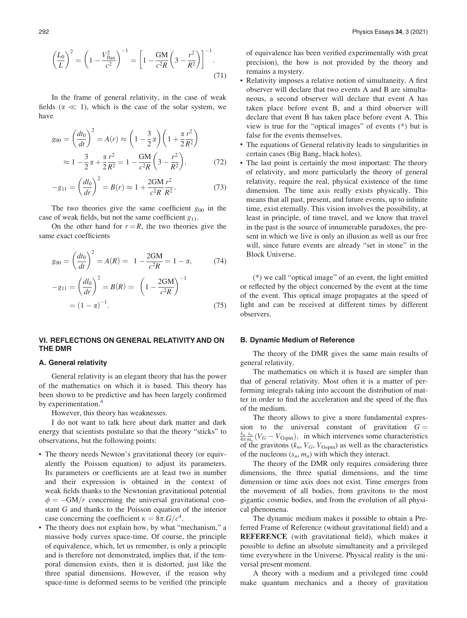$$
\left(\frac{L_0}{L}\right)^2 = \left(1 - \frac{V_{\text{flux}}^2}{c^2}\right)^{-1} = \left[1 - \frac{GM}{c^2R}\left(3 - \frac{r^2}{R^2}\right)\right]^{-1}.\tag{71}
$$

In the frame of general relativity, in the case of weak fields ( $\alpha \ll 1$ ), which is the case of the solar system, we have

$$
g_{00} = \left(\frac{dt_0}{dt}\right)^2 = A(r) \approx \left(1 - \frac{3}{2}\alpha\right) \left(1 + \frac{\alpha r^2}{2R^2}\right)
$$

$$
\approx 1 - \frac{3}{2}\alpha + \frac{\alpha r^2}{2R^2} = 1 - \frac{GM}{c^2R} \left(3 - \frac{r^2}{R^2}\right),\tag{72}
$$

$$
-g_{11} = \left(\frac{dl_0}{dr}\right)^2 = B(r) \approx 1 + \frac{2GM}{c^2 R} \frac{r^2}{R^2}.
$$
 (73)

The two theories give the same coefficient  $g_{00}$  in the case of weak fields, but not the same coefficient  $g_{11}$ .

On the other hand for  $r = R$ , the two theories give the same exact coefficients

$$
g_{00} = \left(\frac{dt_0}{dt}\right)^2 = A(R) = 1 - \frac{2GM}{c^2R} = 1 - \alpha,
$$
 (74)

$$
-g_{11} = \left(\frac{dl_0}{dr}\right)^2 = B(R) = \left(1 - \frac{2GM}{c^2R}\right)^{-1}
$$

$$
= (1 - \alpha)^{-1}.
$$
 (75)

# VI. REFLECTIONS ON GENERAL RELATIVITY AND ON THE DMR

#### A. General relativity

General relativity is an elegant theory that has the power of the mathematics on which it is based. This theory has been shown to be predictive and has been largely confirmed by experimentation.<sup>[4](#page-17-0)</sup>

However, this theory has weaknesses.

I do not want to talk here about dark matter and dark energy that scientists postulate so that the theory "sticks" to observations, but the following points:

- The theory needs Newton's gravitational theory (or equivalently the Poisson equation) to adjust its parameters. Its parameters or coefficients are at least two in number and their expression is obtained in the context of weak fields thanks to the Newtonian gravitational potential  $\phi = -GM/r$  concerning the universal gravitational constant G and thanks to the Poisson equation of the interior case concerning the coefficient  $\kappa = 8\pi \cdot G/c^4$ .
- The theory does not explain how, by what "mechanism," a massive body curves space-time. Of course, the principle of equivalence, which, let us remember, is only a principle and is therefore not demonstrated, implies that, if the temporal dimension exists, then it is distorted, just like the three spatial dimensions. However, if the reason why space-time is deformed seems to be verified (the principle

of equivalence has been verified experimentally with great precision), the how is not provided by the theory and remains a mystery.

- Relativity imposes a relative notion of simultaneity. A first observer will declare that two events A and B are simultaneous, a second observer will declare that event A has taken place before event B, and a third observer will declare that event B has taken place before event A. This view is true for the "optical images" of events (\*) but is false for the events themselves.
- The equations of General relativity leads to singularities in certain cases (Big Bang, black holes).
- The last point is certainly the most important: The theory of relativity, and more particularly the theory of general relativity, require the real, physical existence of the time dimension. The time axis really exists physically. This means that all past, present, and future events, up to infinite time, exist eternally. This vision involves the possibility, at least in principle, of time travel, and we know that travel in the past is the source of innumerable paradoxes, the present in which we live is only an illusion as well as our free will, since future events are already "set in stone" in the Block Universe.

(\*) we call "optical image" of an event, the light emitted or reflected by the object concerned by the event at the time of the event. This optical image propagates at the speed of light and can be received at different times by different observers.

#### B. Dynamic Medium of Reference

The theory of the DMR gives the same main results of general relativity.

The mathematics on which it is based are simpler than that of general relativity. Most often it is a matter of performing integrals taking into account the distribution of matter in order to find the acceleration and the speed of the flux of the medium.

The theory allows to give a more fundamental expression to the universal constant of gravitation  $G =$  $\frac{k_n}{4\pi m_n}$  ( $V_G - V_{\text{Gspin}}$ ), in which intervenes some characteristics of the gravitons  $(k_n, V_G, V_{\text{Gspin}})$  as well as the characteristics of the nucleons  $(s_n, m_n)$  with which they interact.

The theory of the DMR only requires considering three dimensions, the three spatial dimensions, and the time dimension or time axis does not exist. Time emerges from the movement of all bodies, from gravitons to the most gigantic cosmic bodies, and from the evolution of all physical phenomena.

The dynamic medium makes it possible to obtain a Preferred Frame of Reference (without gravitational field) and a REFERENCE (with gravitational field), which makes it possible to define an absolute simultaneity and a privileged time everywhere in the Universe. Physical reality is the universal present moment.

A theory with a medium and a privileged time could make quantum mechanics and a theory of gravitation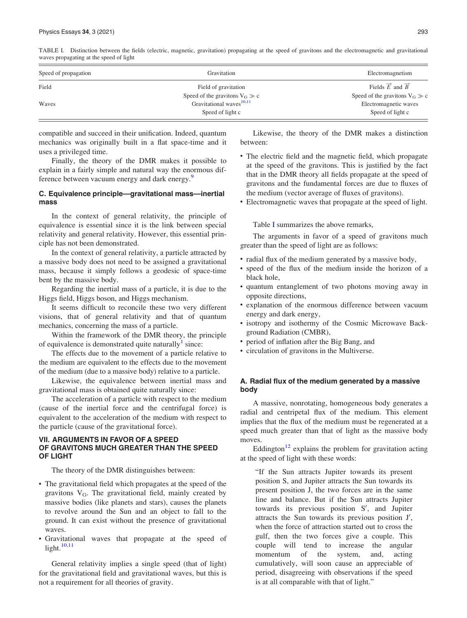TABLE I. Distinction between the fields (electric, magnetic, gravitation) propagating at the speed of gravitons and the electromagnetic and gravitational waves propagating at the speed of light

| Speed of propagation | Gravitation                          | Electromagnetism                   |
|----------------------|--------------------------------------|------------------------------------|
| Field                | Field of gravitation                 | Fields $\vec{E}$ and $\vec{B}$     |
|                      | Speed of the gravitons $V_G \gg c$   | Speed of the gravitons $V_G \gg c$ |
| Waves                | Gravitational waves <sup>10,11</sup> | Electromagnetic waves              |
|                      | Speed of light c                     | Speed of light c                   |

compatible and succeed in their unification. Indeed, quantum mechanics was originally built in a flat space-time and it uses a privileged time.

Finally, the theory of the DMR makes it possible to explain in a fairly simple and natural way the enormous dif-ference between vacuum energy and dark energy.<sup>[9](#page-17-0)</sup>

# C. Equivalence principle—gravitational mass—inertial mass

In the context of general relativity, the principle of equivalence is essential since it is the link between special relativity and general relativity. However, this essential principle has not been demonstrated.

In the context of general relativity, a particle attracted by a massive body does not need to be assigned a gravitational mass, because it simply follows a geodesic of space-time bent by the massive body.

Regarding the inertial mass of a particle, it is due to the Higgs field, Higgs boson, and Higgs mechanism.

It seems difficult to reconcile these two very different visions, that of general relativity and that of quantum mechanics, concerning the mass of a particle.

Within the framework of the DMR theory, the principle of equivalence is demonstrated quite naturally  $\sin$  since:

The effects due to the movement of a particle relative to the medium are equivalent to the effects due to the movement of the medium (due to a massive body) relative to a particle.

Likewise, the equivalence between inertial mass and gravitational mass is obtained quite naturally since:

The acceleration of a particle with respect to the medium (cause of the inertial force and the centrifugal force) is equivalent to the acceleration of the medium with respect to the particle (cause of the gravitational force).

# VII. ARGUMENTS IN FAVOR OF A SPEED OF GRAVITONS MUCH GREATER THAN THE SPEED OF LIGHT

The theory of the DMR distinguishes between:

- The gravitational field which propagates at the speed of the gravitons  $V_G$ . The gravitational field, mainly created by massive bodies (like planets and stars), causes the planets to revolve around the Sun and an object to fall to the ground. It can exist without the presence of gravitational waves.
- Gravitational waves that propagate at the speed of light. $10,11$

General relativity implies a single speed (that of light) for the gravitational field and gravitational waves, but this is not a requirement for all theories of gravity.

Likewise, the theory of the DMR makes a distinction between:

- The electric field and the magnetic field, which propagate at the speed of the gravitons. This is justified by the fact that in the DMR theory all fields propagate at the speed of gravitons and the fundamental forces are due to fluxes of the medium (vector average of fluxes of gravitons).
- Electromagnetic waves that propagate at the speed of light.

Table I summarizes the above remarks,

The arguments in favor of a speed of gravitons much greater than the speed of light are as follows:

- radial flux of the medium generated by a massive body,
- speed of the flux of the medium inside the horizon of a black hole,
- quantum entanglement of two photons moving away in opposite directions,
- explanation of the enormous difference between vacuum energy and dark energy,
- isotropy and isothermy of the Cosmic Microwave Background Radiation (CMBR),
- period of inflation after the Big Bang, and
- circulation of gravitons in the Multiverse.

# A. Radial flux of the medium generated by a massive body

A massive, nonrotating, homogeneous body generates a radial and centripetal flux of the medium. This element implies that the flux of the medium must be regenerated at a speed much greater than that of light as the massive body moves.

Eddington<sup>[12](#page-17-0)</sup> explains the problem for gravitation acting at the speed of light with these words:

"If the Sun attracts Jupiter towards its present position S, and Jupiter attracts the Sun towards its present position J, the two forces are in the same line and balance. But if the Sun attracts Jupiter towards its previous position S', and Jupiter attracts the Sun towards its previous position J', when the force of attraction started out to cross the gulf, then the two forces give a couple. This couple will tend to increase the angular momentum of the system, and, acting cumulatively, will soon cause an appreciable of period, disagreeing with observations if the speed is at all comparable with that of light."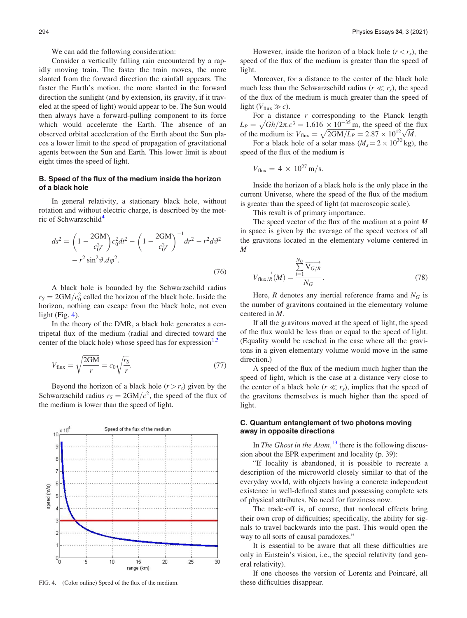We can add the following consideration:

Consider a vertically falling rain encountered by a rapidly moving train. The faster the train moves, the more slanted from the forward direction the rainfall appears. The faster the Earth's motion, the more slanted in the forward direction the sunlight (and by extension, its gravity, if it traveled at the speed of light) would appear to be. The Sun would then always have a forward-pulling component to its force which would accelerate the Earth. The absence of an observed orbital acceleration of the Earth about the Sun places a lower limit to the speed of propagation of gravitational agents between the Sun and Earth. This lower limit is about eight times the speed of light.

## B. Speed of the flux of the medium inside the horizon of a black hole

In general relativity, a stationary black hole, without rotation and without electric charge, is described by the metric of Schwarzschild<sup>4</sup>

$$
ds2 = \left(1 - \frac{2GM}{c_0^2r}\right)c_0^2dt^2 - \left(1 - \frac{2GM}{c_0^2r}\right)^{-1}dr^2 - r^2d\vartheta^2
$$

$$
-r^2\sin^2\vartheta \,d\varphi^2.
$$
 (76)

A black hole is bounded by the Schwarzschild radius  $r_S = 2GM/c_0^2$  called the horizon of the black hole. Inside the horizon, nothing can escape from the black hole, not even light (Fig. 4).

In the theory of the DMR, a black hole generates a centripetal flux of the medium (radial and directed toward the center of the black hole) whose speed has for expression  $1,3$ 

$$
V_{\text{flux}} = \sqrt{\frac{2GM}{r}} = c_0 \sqrt{\frac{r_S}{r}}.\tag{77}
$$

Beyond the horizon of a black hole  $(r > r_s)$  given by the Schwarzschild radius  $r_S = 2GM/c^2$ , the speed of the flux of the medium is lower than the speed of light.



FIG. 4. (Color online) Speed of the flux of the medium. these difficulties disappear.

However, inside the horizon of a black hole  $(r < r<sub>s</sub>)$ , the speed of the flux of the medium is greater than the speed of light.

Moreover, for a distance to the center of the black hole much less than the Schwarzschild radius ( $r \ll r_s$ ), the speed of the flux of the medium is much greater than the speed of light  $(V_{\text{flux}} \gg c)$ .

For a distance  $r$  corresponding to the Planck length  $L_P = \sqrt{Gh/2\pi.c^3} = 1.616 \times 10^{-35}$  m, the speed of the flux  $L_P = \sqrt{GM/2\pi}$ .  $c^5 = 1.616 \times 10^{-12}$  m, the speed of the medium is:  $V_{\text{flux}} = \sqrt{2GM/L_P} = 2.87 \times 10^{12} \sqrt{M}$ .

For a black hole of a solar mass  $(M_s = 2 \times 10^{30} \text{ kg})$ , the speed of the flux of the medium is

$$
V_{\text{flux}} = 4 \times 10^{27} \text{ m/s}.
$$

Inside the horizon of a black hole is the only place in the current Universe, where the speed of the flux of the medium is greater than the speed of light (at macroscopic scale).

This result is of primary importance.

The speed vector of the flux of the medium at a point M in space is given by the average of the speed vectors of all the gravitons located in the elementary volume centered in M

$$
\overrightarrow{V_{\text{flux}/R}}(M) = \frac{\sum_{i=1}^{N_G} \overrightarrow{V_{G/R}}}{N_G}.
$$
\n(78)

Here, R denotes any inertial reference frame and  $N_G$  is the number of gravitons contained in the elementary volume centered in M.

If all the gravitons moved at the speed of light, the speed of the flux would be less than or equal to the speed of light. (Equality would be reached in the case where all the gravitons in a given elementary volume would move in the same direction.)

A speed of the flux of the medium much higher than the speed of light, which is the case at a distance very close to the center of a black hole ( $r \ll r_s$ ), implies that the speed of the gravitons themselves is much higher than the speed of light.

## C. Quantum entanglement of two photons moving away in opposite directions

In The Ghost in the Atom, $^{13}$  $^{13}$  $^{13}$  there is the following discussion about the EPR experiment and locality (p. 39):

"If locality is abandoned, it is possible to recreate a description of the microworld closely similar to that of the everyday world, with objects having a concrete independent existence in well-defined states and possessing complete sets of physical attributes. No need for fuzziness now.

The trade-off is, of course, that nonlocal effects bring their own crop of difficulties; specifically, the ability for signals to travel backwards into the past. This would open the way to all sorts of causal paradoxes."

It is essential to be aware that all these difficulties are only in Einstein's vision, i.e., the special relativity (and general relativity).

If one chooses the version of Lorentz and Poincaré, all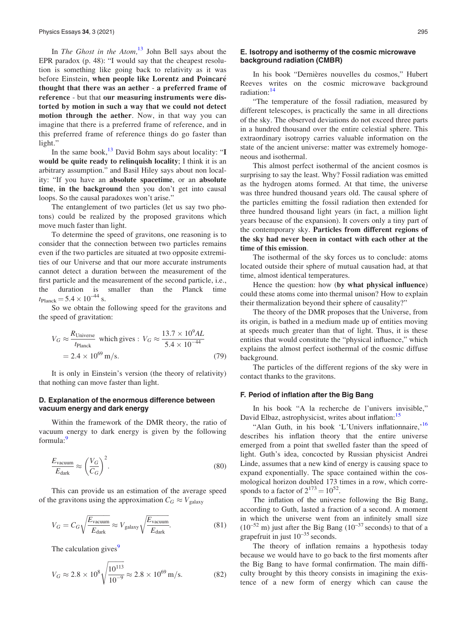In The Ghost in the Atom, $13$  John Bell says about the EPR paradox (p. 48): "I would say that the cheapest resolution is something like going back to relativity as it was before Einstein, when people like Lorentz and Poincaré thought that there was an aether - a preferred frame of reference - but that our measuring instruments were distorted by motion in such a way that we could not detect motion through the aether. Now, in that way you can imagine that there is a preferred frame of reference, and in this preferred frame of reference things do go faster than light."

In the same book, $^{13}$  $^{13}$  $^{13}$  David Bohm says about locality: "I would be quite ready to relinquish locality; I think it is an arbitrary assumption." and Basil Hiley says about non locality: "If you have an absolute spacetime, or an absolute time, in the background then you don't get into causal loops. So the causal paradoxes won't arise."

The entanglement of two particles (let us say two photons) could be realized by the proposed gravitons which move much faster than light.

To determine the speed of gravitons, one reasoning is to consider that the connection between two particles remains even if the two particles are situated at two opposite extremities of our Universe and that our more accurate instruments cannot detect a duration between the measurement of the first particle and the measurement of the second particle, i.e., the duration is smaller than the Planck time  $t_{\text{Planck}} = 5.4 \times 10^{-44} \text{ s.}$ 

So we obtain the following speed for the gravitons and the speed of gravitation:

$$
V_G \approx \frac{R_{\text{Universe}}}{t_{\text{Planck}}} \text{ which gives : } V_G \approx \frac{13.7 \times 10^9 AL}{5.4 \times 10^{-44}}
$$
  
= 2.4 × 10<sup>69</sup> m/s. (79)

It is only in Einstein's version (the theory of relativity) that nothing can move faster than light.

## D. Explanation of the enormous difference between vacuum energy and dark energy

Within the framework of the DMR theory, the ratio of vacuum energy to dark energy is given by the following formula:<sup>[9](#page-17-0)</sup>

$$
\frac{E_{\text{vacuum}}}{E_{\text{dark}}} \approx \left(\frac{V_G}{C_G}\right)^2.
$$
\n(80)

This can provide us an estimation of the average speed of the gravitons using the approximation  $C_G \approx V_{\text{galaxy}}$ 

$$
V_G = C_G \sqrt{\frac{E_{\text{vacuum}}}{E_{\text{dark}}}} \approx V_{\text{galaxy}} \sqrt{\frac{E_{\text{vacuum}}}{E_{\text{dark}}}}.
$$
 (81)

The calculation gives<sup>[9](#page-17-0)</sup>

$$
V_G \approx 2.8 \times 10^8 \sqrt{\frac{10^{113}}{10^{-9}}} \approx 2.8 \times 10^{69} \,\mathrm{m/s}.\tag{82}
$$

## E. Isotropy and isothermy of the cosmic microwave background radiation (CMBR)

In his book "Dernières nouvelles du cosmos," Hubert Reeves writes on the cosmic microwave background radiation:[14](#page-17-0)

"The temperature of the fossil radiation, measured by different telescopes, is practically the same in all directions of the sky. The observed deviations do not exceed three parts in a hundred thousand over the entire celestial sphere. This extraordinary isotropy carries valuable information on the state of the ancient universe: matter was extremely homogeneous and isothermal.

This almost perfect isothermal of the ancient cosmos is surprising to say the least. Why? Fossil radiation was emitted as the hydrogen atoms formed. At that time, the universe was three hundred thousand years old. The causal sphere of the particles emitting the fossil radiation then extended for three hundred thousand light years (in fact, a million light years because of the expansion). It covers only a tiny part of the contemporary sky. Particles from different regions of the sky had never been in contact with each other at the time of this emission.

The isothermal of the sky forces us to conclude: atoms located outside their sphere of mutual causation had, at that time, almost identical temperatures.

Hence the question: how (by what physical influence) could these atoms come into thermal unison? How to explain their thermalization beyond their sphere of causality?"

The theory of the DMR proposes that the Universe, from its origin, is bathed in a medium made up of entities moving at speeds much greater than that of light. Thus, it is these entities that would constitute the "physical influence," which explains the almost perfect isothermal of the cosmic diffuse background.

The particles of the different regions of the sky were in contact thanks to the gravitons.

#### F. Period of inflation after the Big Bang

In his book "A la recherche de l'univers invisible," David Elbaz, astrophysicist, writes about inflation:<sup>15</sup>

"Alan Guth, in his book 'L'Univers inflationnaire, <sup>[16](#page-17-0)</sup> describes his inflation theory that the entire universe emerged from a point that swelled faster than the speed of light. Guth's idea, concocted by Russian physicist Andrei Linde, assumes that a new kind of energy is causing space to expand exponentially. The space contained within the cosmological horizon doubled 173 times in a row, which corresponds to a factor of  $2^{173} = 10^{52}$ .

The inflation of the universe following the Big Bang, according to Guth, lasted a fraction of a second. A moment in which the universe went from an infinitely small size  $(10^{-52} \text{ m})$  just after the Big Bang  $(10^{-37} \text{ seconds})$  to that of a grapefruit in just  $10^{-35}$  seconds.

The theory of inflation remains a hypothesis today because we would have to go back to the first moments after the Big Bang to have formal confirmation. The main difficulty brought by this theory consists in imagining the existence of a new form of energy which can cause the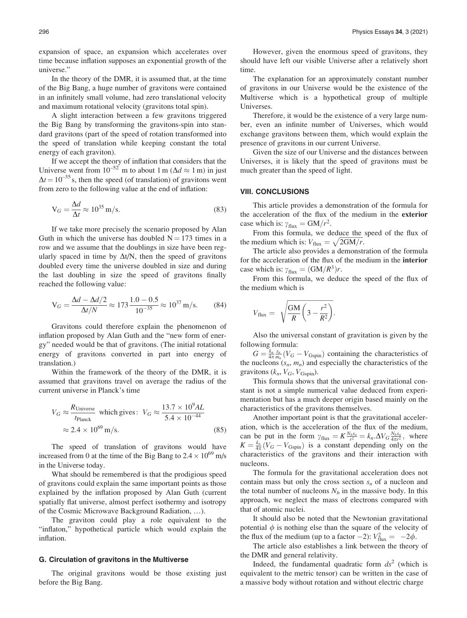expansion of space, an expansion which accelerates over time because inflation supposes an exponential growth of the universe."

In the theory of the DMR, it is assumed that, at the time of the Big Bang, a huge number of gravitons were contained in an infinitely small volume, had zero translational velocity and maximum rotational velocity (gravitons total spin).

A slight interaction between a few gravitons triggered the Big Bang by transforming the gravitons-spin into standard gravitons (part of the speed of rotation transformed into the speed of translation while keeping constant the total energy of each graviton).

If we accept the theory of inflation that considers that the Universe went from  $10^{-52}$  m to about 1 m ( $\Delta d \approx 1$  m) in just  $\Delta t = 10^{-35}$  s, then the speed (of translation) of gravitons went from zero to the following value at the end of inflation:

$$
V_G = \frac{\Delta d}{\Delta t} \approx 10^{35} \,\text{m/s}.\tag{83}
$$

If we take more precisely the scenario proposed by Alan Guth in which the universe has doubled  $N = 173$  times in a row and we assume that the doublings in size have been regularly spaced in time by  $\Delta t/N$ , then the speed of gravitons doubled every time the universe doubled in size and during the last doubling in size the speed of gravitons finally reached the following value:

$$
V_G = \frac{\Delta d - \Delta d/2}{\Delta t/N} \approx 173 \frac{1.0 - 0.5}{10^{-35}} \approx 10^{37} \text{ m/s.}
$$
 (84)

Gravitons could therefore explain the phenomenon of inflation proposed by Alan Guth and the "new form of energy" needed would be that of gravitons. (The initial rotational energy of gravitons converted in part into energy of translation.)

Within the framework of the theory of the DMR, it is assumed that gravitons travel on average the radius of the current universe in Planck's time

$$
V_G \approx \frac{R_{\text{Universe}}}{t_{\text{Planck}}} \text{ which gives: } V_G \approx \frac{13.7 \times 10^9 AL}{5.4 \times 10^{-44}} \approx 2.4 \times 10^{69} \text{ m/s.}
$$
\n(85)

The speed of translation of gravitons would have increased from 0 at the time of the Big Bang to  $2.4 \times 10^{69}$  m/s in the Universe today.

What should be remembered is that the prodigious speed of gravitons could explain the same important points as those explained by the inflation proposed by Alan Guth (current spatially flat universe, almost perfect isothermy and isotropy of the Cosmic Microwave Background Radiation, …).

The graviton could play a role equivalent to the "inflaton," hypothetical particle which would explain the inflation.

#### G. Circulation of gravitons in the Multiverse

The original gravitons would be those existing just before the Big Bang.

However, given the enormous speed of gravitons, they should have left our visible Universe after a relatively short time.

The explanation for an approximately constant number of gravitons in our Universe would be the existence of the Multiverse which is a hypothetical group of multiple Universes.

Therefore, it would be the existence of a very large number, even an infinite number of Universes, which would exchange gravitons between them, which would explain the presence of gravitons in our current Universe.

Given the size of our Universe and the distances between Universes, it is likely that the speed of gravitons must be much greater than the speed of light.

#### VIII. CONCLUSIONS

This article provides a demonstration of the formula for the acceleration of the flux of the medium in the exterior case which is:  $\gamma_{\text{flux}} = GM/r^2$ .

From this formula, we deduce the speed of the flux of the medium which is:  $V_{\text{flux}} = \sqrt{2GM/r}$ .

The article also provides a demonstration of the formula for the acceleration of the flux of the medium in the interior case which is:  $\gamma_{\text{flux}} = (GM/R^3)r$ .

From this formula, we deduce the speed of the flux of the medium which is

$$
V_{\text{flux}} = \sqrt{\frac{GM}{R} \left(3 - \frac{r^2}{R^2}\right)}.
$$

Also the universal constant of gravitation is given by the following formula:

 $G = \frac{k_n}{4\pi m_n} (V_G - V_{\text{Gspin}})$  containing the characteristics of the nucleons  $(s_n, m_n)$  and especially the characteristics of the gravitons  $(k_n, V_G, V_{\text{Gspin}})$ .

This formula shows that the universal gravitational constant is not a simple numerical value deduced from experimentation but has a much deeper origin based mainly on the characteristics of the gravitons themselves.

Another important point is that the gravitational acceleration, which is the acceleration of the flux of the medium, can be put in the form  $\gamma_{\text{flux}} = K \frac{N_{b}s_n}{r^2} = k_n \Delta V_G \frac{N_{b}s_n}{4\pi r^2}$ , where  $K = \frac{k_n}{4\pi} (V_G - V_{Gspin})$  is a constant depending only on the characteristics of the gravitons and their interaction with nucleons.

The formula for the gravitational acceleration does not contain mass but only the cross section  $s_n$  of a nucleon and the total number of nucleons  $N_b$  in the massive body. In this approach, we neglect the mass of electrons compared with that of atomic nuclei.

It should also be noted that the Newtonian gravitational potential  $\phi$  is nothing else than the square of the velocity of the flux of the medium (up to a factor  $-2$ ):  $V_{\text{flux}}^2 = -2\phi$ .

The article also establishes a link between the theory of the DMR and general relativity.

Indeed, the fundamental quadratic form  $ds^2$  (which is equivalent to the metric tensor) can be written in the case of a massive body without rotation and without electric charge